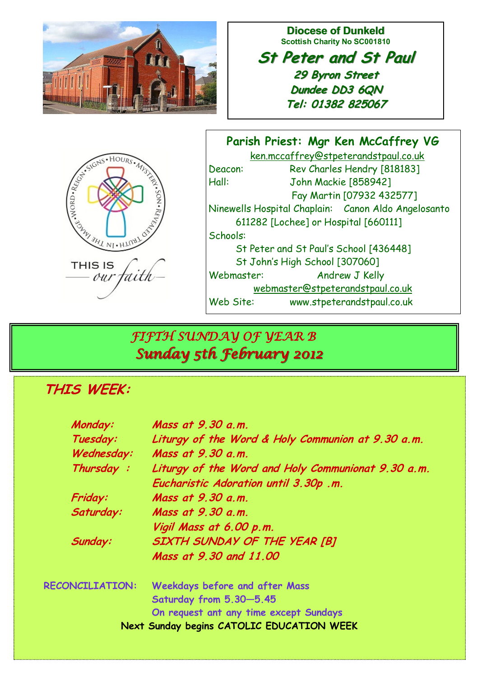

**Diocese of Dunkeld Scottish Charity No SC001810**

**St Peter and St Paul 29 Byron Street Dundee DD3 6QN Tel: 01382 825067**

| ESCRIPTIONS AVENUES           |
|-------------------------------|
| <b>THIS IS</b><br>aith<br>our |

**Parish Priest: Mgr Ken McCaffrey VG** ken.mccaffrey@stpeterandstpaul.co.uk Deacon: Rev Charles Hendry [818183] Hall: John Mackie [858942] Fay Martin [07932 432577] Ninewells Hospital Chaplain: Canon Aldo Angelosanto 611282 [Lochee] or Hospital [660111] Schools: St Peter and St Paul's School [436448] St John's High School [307060] Webmaster: Andrew J Kelly webmaster@stpeterandstpaul.co.uk Web Site: www.stpeterandstpaul.co.uk

# *FIFTH SUNDAY OF YEAR B Sunday 5th February 2012*

## **THIS WEEK:**

| Monday:                                   | Mass at 9.30 a.m.                                  |
|-------------------------------------------|----------------------------------------------------|
| Tuesday:                                  | Liturgy of the Word & Holy Communion at 9.30 a.m.  |
| Wednesday:                                | Mass at 9.30 a.m.                                  |
| Thursday:                                 | Liturgy of the Word and Holy Communionat 9.30 a.m. |
|                                           | Eucharistic Adoration until 3.30p .m.              |
| Friday:                                   | Mass at 9.30 a.m.                                  |
| Saturday:                                 | Mass at 9.30 a.m.                                  |
|                                           | Vigil Mass at 6.00 p.m.                            |
| Sunday:                                   | SIXTH SUNDAY OF THE YEAR [B]                       |
|                                           | Mass at 9,30 and 11,00                             |
| <b>RECONCILIATION:</b>                    | <b>Weekdays before and after Mass</b>              |
|                                           | Saturday from 5.30-5.45                            |
|                                           | On request ant any time except Sundays             |
| Next Sunday begins CATOLIC EDUCATION WEEK |                                                    |
|                                           |                                                    |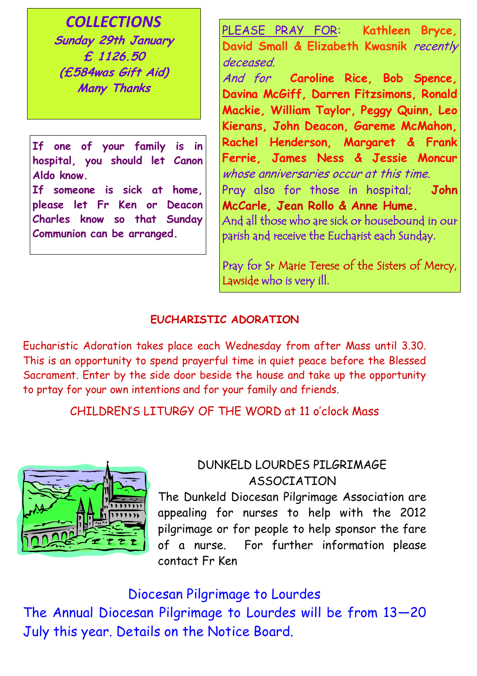*COLLECTIONS* **Sunday 29th January £ 1126.50 (£584was Gift Aid) Many Thanks**

**If one of your family is in hospital, you should let Canon Aldo know.**

**If someone is sick at home, please let Fr Ken or Deacon Charles know so that Sunday Communion can be arranged.**

PLEASE PRAY FOR: **Kathleen Bryce, David Small & Elizabeth Kwasnik** recently deceased.

And for **Caroline Rice, Bob Spence, Davina McGiff, Darren Fitzsimons, Ronald Mackie, William Taylor, Peggy Quinn, Leo Kierans, John Deacon, Gareme McMahon, Rachel Henderson, Margaret & Frank Ferrie, James Ness & Jessie Moncur**  whose anniversaries occur at this time. Pray also for those in hospital; **John McCarle, Jean Rollo & Anne Hume.** And all those who are sick or housebound in our parish and receive the Eucharist each Sunday.

Pray for Sr Marie Terese of the Sisters of Mercy, Lawside who is very ill.

#### **EUCHARISTIC ADORATION**

Eucharistic Adoration takes place each Wednesday from after Mass until 3.30. This is an opportunity to spend prayerful time in quiet peace before the Blessed Sacrament. Enter by the side door beside the house and take up the opportunity to prtay for your own intentions and for your family and friends.

CHILDREN'S LITURGY OF THE WORD at 11 o'clock Mass



### DUNKELD LOURDES PILGRIMAGE ASSOCIATION

The Dunkeld Diocesan Pilgrimage Association are appealing for nurses to help with the 2012 pilgrimage or for people to help sponsor the fare of a nurse. For further information please contact Fr Ken

#### Diocesan Pilgrimage to Lourdes

The Annual Diocesan Pilgrimage to Lourdes will be from 13—20 July this year. Details on the Notice Board.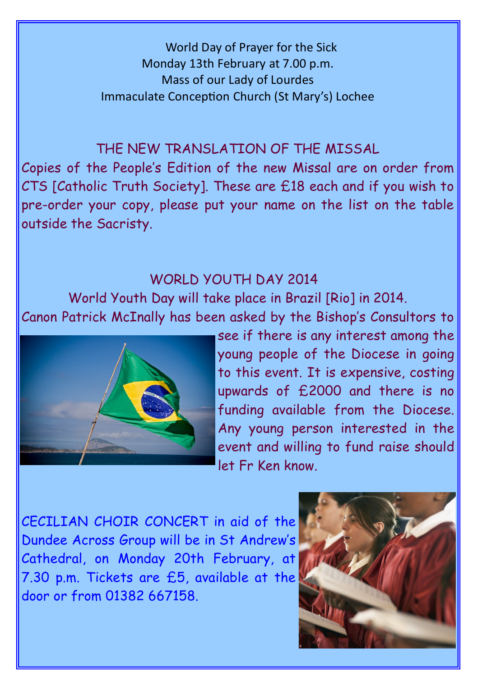World Day of Prayer for the Sick Monday 13th February at 7.00 p.m. Mass of our Lady of Lourdes Immaculate Conception Church (St Mary's) Lochee

### THE NEW TRANSLATION OF THE MISSAL

Copies of the People's Edition of the new Missal are on order from CTS [Catholic Truth Society]. These are £18 each and if you wish to pre-order your copy, please put your name on the list on the table outside the Sacristy.

### WORLD YOUTH DAY 2014

World Youth Day will take place in Brazil [Rio] in 2014. Canon Patrick McInally has been asked by the Bishop's Consultors to



see if there is any interest among the young people of the Diocese in going to this event. It is expensive, costing upwards of £2000 and there is no funding available from the Diocese. Any young person interested in the event and willing to fund raise should let Fr Ken know.

CECILIAN CHOIR CONCERT in aid of the Dundee Across Group will be in St Andrew's Cathedral, on Monday 20th February, at 7.30 p.m. Tickets are £5, available at the door or from 01382 667158.